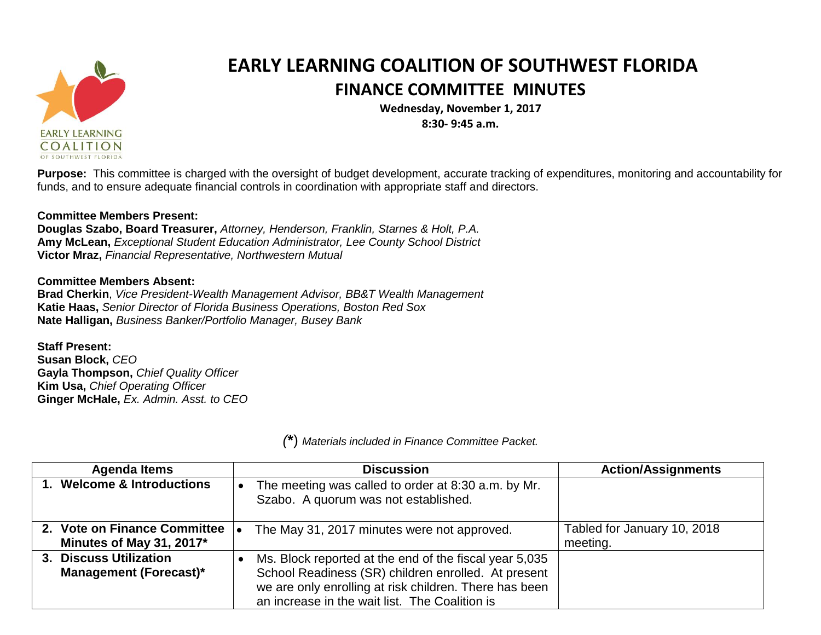

## **EARLY LEARNING COALITION OF SOUTHWEST FLORIDA FINANCE COMMITTEE MINUTES**

**Wednesday, November 1, 2017 8:30- 9:45 a.m.**

**Purpose:** This committee is charged with the oversight of budget development, accurate tracking of expenditures, monitoring and accountability for funds, and to ensure adequate financial controls in coordination with appropriate staff and directors.

## **Committee Members Present:**

**Douglas Szabo, Board Treasurer,** *Attorney, Henderson, Franklin, Starnes & Holt, P.A.* **Amy McLean,** *Exceptional Student Education Administrator, Lee County School District* **Victor Mraz,** *Financial Representative, Northwestern Mutual*

## **Committee Members Absent:**

**Brad Cherkin**, *Vice President-Wealth Management Advisor, BB&T Wealth Management* **Katie Haas,** *Senior Director of Florida Business Operations, Boston Red Sox* **Nate Halligan,** *Business Banker/Portfolio Manager, Busey Bank*

**Staff Present: Susan Block,** *CEO* **Gayla Thompson,** *Chief Quality Officer* **Kim Usa,** *Chief Operating Officer* **Ginger McHale,** *Ex. Admin. Asst. to CEO*

| <b>Agenda Items</b>                                      | <b>Discussion</b>                                                                                                                                                                                                         | <b>Action/Assignments</b>               |
|----------------------------------------------------------|---------------------------------------------------------------------------------------------------------------------------------------------------------------------------------------------------------------------------|-----------------------------------------|
| 1. Welcome & Introductions                               | The meeting was called to order at 8:30 a.m. by Mr.<br>Szabo. A quorum was not established.                                                                                                                               |                                         |
| 2. Vote on Finance Committee<br>Minutes of May 31, 2017* | The May 31, 2017 minutes were not approved.                                                                                                                                                                               | Tabled for January 10, 2018<br>meeting. |
| 3. Discuss Utilization<br><b>Management (Forecast)*</b>  | Ms. Block reported at the end of the fiscal year 5,035<br>School Readiness (SR) children enrolled. At present<br>we are only enrolling at risk children. There has been<br>an increase in the wait list. The Coalition is |                                         |

*(***\***) *Materials included in Finance Committee Packet.*